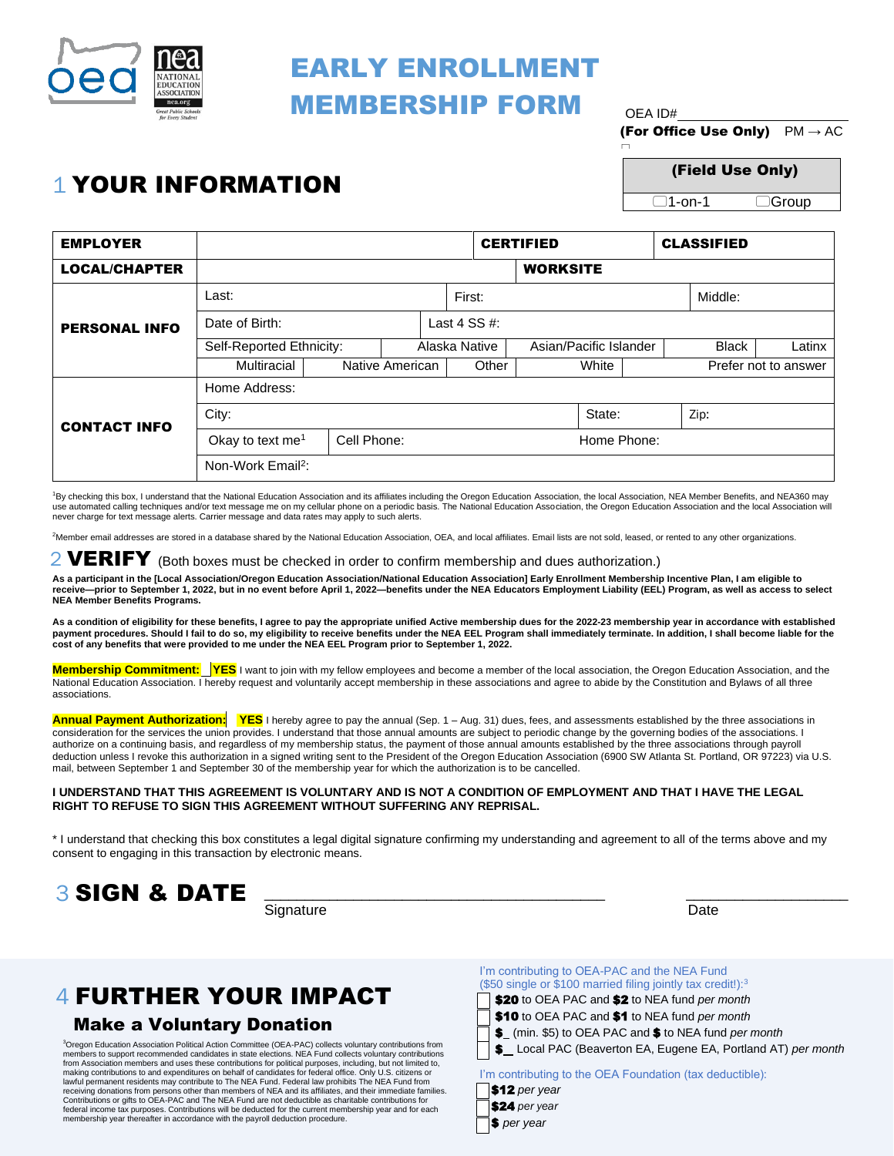

## EARLY ENROLLMENT MEMBERSHIP FORM  $_{\text{OFA 1D#}}$

(For Office Use Only)  $PM \rightarrow AC$ 

n

# $1$  YOUR INFORMATION (Field Use Only)

 $\overline{\Box}$ Group

| <b>EMPLOYER</b>      |                                                                                                                                                                                                                   |             |  |                 | <b>CERTIFIED</b>       |  | <b>CLASSIFIED</b> |                      |        |  |
|----------------------|-------------------------------------------------------------------------------------------------------------------------------------------------------------------------------------------------------------------|-------------|--|-----------------|------------------------|--|-------------------|----------------------|--------|--|
| <b>LOCAL/CHAPTER</b> |                                                                                                                                                                                                                   |             |  |                 | <b>WORKSITE</b>        |  |                   |                      |        |  |
| <b>PERSONAL INFO</b> | Last:                                                                                                                                                                                                             |             |  | First:          |                        |  |                   | Middle:              |        |  |
|                      | Date of Birth:                                                                                                                                                                                                    |             |  | Last 4 $SS #$ : |                        |  |                   |                      |        |  |
|                      | Self-Reported Ethnicity:                                                                                                                                                                                          |             |  | Alaska Native   | Asian/Pacific Islander |  |                   | <b>Black</b>         | Latinx |  |
|                      | Multiracial<br>Native American                                                                                                                                                                                    |             |  | Other           | White                  |  |                   | Prefer not to answer |        |  |
| <b>CONTACT INFO</b>  | Home Address:                                                                                                                                                                                                     |             |  |                 |                        |  |                   |                      |        |  |
|                      | City:                                                                                                                                                                                                             |             |  |                 | State:                 |  |                   | Zip:                 |        |  |
|                      | Okay to text me <sup>1</sup>                                                                                                                                                                                      | Cell Phone: |  |                 | Home Phone:            |  |                   |                      |        |  |
|                      | Non-Work Email <sup>2</sup> :                                                                                                                                                                                     |             |  |                 |                        |  |                   |                      |        |  |
|                      | <sup>1</sup> By checking this box, I understand that the National Education Association and its affiliates including the Oregon Education Association, the local Association, NEA Member Benefits, and NEA360 may |             |  |                 |                        |  |                   |                      |        |  |

use automated calling techniques and/or text message me on my cellular phone on a periodic basis. The National Education Association, the Oregon Education Association and the local Association will never charge for text message alerts. Carrier message and data rates may apply to such alerts.

2 Member email addresses are stored in a database shared by the National Education Association, OEA, and local affiliates. Email lists are not sold, leased, or rented to any other organizations.

### $2$  VERIFY (Both boxes must be checked in order to confirm membership and dues authorization.)

**As a participant in the [Local Association/Oregon Education Association/National Education Association] Early Enrollment Membership Incentive Plan, I am eligible to receive—prior to September 1, 2022, but in no event before April 1, 2022—benefits under the NEA Educators Employment Liability (EEL) Program, as well as access to select NEA Member Benefits Programs.** 

**As a condition of eligibility for these benefits, I agree to pay the appropriate unified Active membership dues for the 2022-23 membership year in accordance with established**  payment procedures. Should I fail to do so, my eligibility to receive benefits under the NEA EEL Program shall immediately terminate. In addition, I shall become liable for the<br>cost of any benefits that were provided to me

 **Membership Commitment: YES** I want to join with my fellow employees and become a member of the local association, the Oregon Education Association, and the National Education Association. I hereby request and voluntarily accept membership in these associations and agree to abide by the Constitution and Bylaws of all three associations.

Annual Payment Authorization: YES I hereby agree to pay the annual (Sep. 1 – Aug. 31) dues, fees, and assessments established by the three associations in authorize on a continuing basis, and regardless of my membership status, the payment of those annual amounts established by the three associations through payroll mail, between September 1 and September 30 of the membership year for which the authorization is to be cancelled. consideration for the services the union provides. I understand that those annual amounts are subject to periodic change by the governing bodies of the associations. I deduction unless I revoke this authorization in a signed writing sent to the President of the Oregon Education Association (6900 SW Atlanta St. Portland, OR 97223) via U.S.

#### **I UNDERSTAND THAT THIS AGREEMENT IS VOLUNTARY AND IS NOT A CONDITION OF EMPLOYMENT AND THAT I HAVE THE LEGAL RIGHT TO REFUSE TO SIGN THIS AGREEMENT WITHOUT SUFFERING ANY REPRISAL.**

 \* I understand that checking this box constitutes a legal digital signature confirming my understanding and agreement to all of the terms above and my consent to engaging in this transaction by electronic means.



**Signature** 

Date

### 4 FURTHER YOUR IMPACT

#### Make a Voluntary Donation

 members to support recommended candidates in state elections. NEA Fund collects voluntary contributions from Association members and uses these contributions for political purposes, including, but not limited to, making contributions to and expenditures on behalf of candidates for federal office. Only U.S. citizens or lawful permanent residents may contribute to The NEA Fund. Federal law prohibits The NEA Fund from receiving donations from persons other than members of NEA and its affiliates, and their immediate families. outions or<br>income ta<br>ership yea 3 Oregon Education Association Political Action Committee (OEA-PAC) collects voluntary contributions from Contributions or gifts to OEA-PAC and The NEA Fund are not deductible as charitable contributions for<br>federal income tax purposes. Contributions will be deducted for the current membership year and for each<br>membership year

 I'm contributing to OEA-PAC and the NEA Fund (\$50 single or \$100 married filing jointly tax credit!): $3$ \$20 to OEA PAC and \$2 to NEA fund *per month*  \$10 to OEA PAC and \$1 to NEA fund *per month*  \$ (min. \$5) to OEA PAC and \$ to NEA fund *per month*  \$ Local PAC (Beaverton EA, Eugene EA, Portland AT) *per month* 

I'm contributing to the OEA Foundation (tax deductible):

| $\Box$ \$12 per year |
|----------------------|
| \$24 per year        |
| $\Box$ S per year    |
|                      |

Ξ